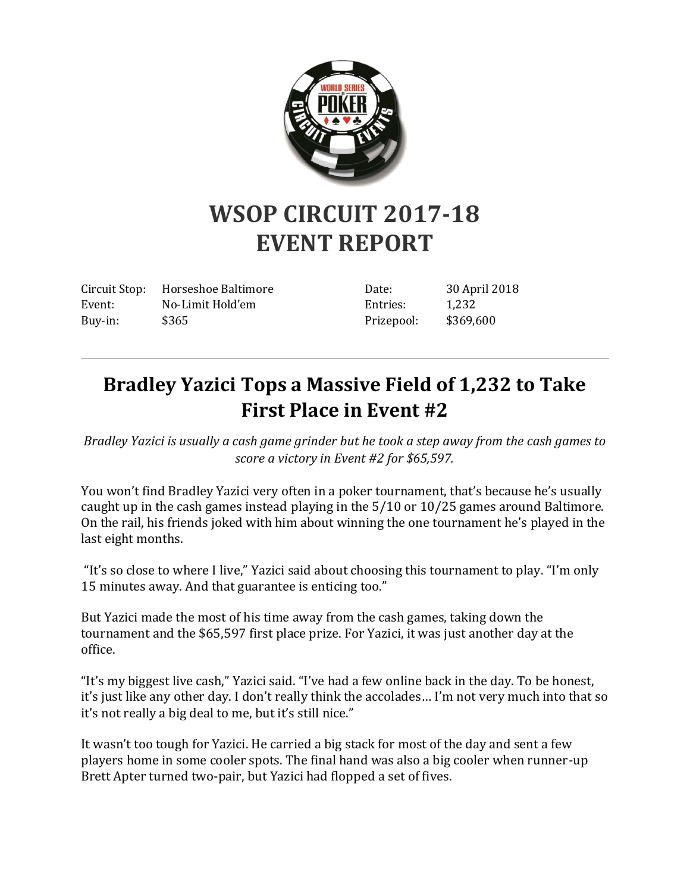

## **WSOP CIRCUIT 2017-18 EVENT REPORT**

Circuit Stop: Horseshoe Baltimore Event: No-Limit Hold'em Buy-in: \$365

Date: 30 April 2018 Entries: 1,232 Prizepool: \$369,600

## **Bradley Yazici Tops a Massive Field of 1,232 to Take First Place in Event #2**

*Bradley Yazici is usually a cash game grinder but he took a step away from the cash games to score a victory in Event #2 for \$65,597.*

You won't find Bradley Yazici very often in a poker tournament, that's because he's usually caught up in the cash games instead playing in the 5/10 or 10/25 games around Baltimore. On the rail, his friends joked with him about winning the one tournament he's played in the last eight months.

"It's so close to where I live," Yazici said about choosing this tournament to play. "I'm only 15 minutes away. And that guarantee is enticing too."

But Yazici made the most of his time away from the cash games, taking down the tournament and the \$65,597 first place prize. For Yazici, it was just another day at the office.

"It's my biggest live cash," Yazici said. "I've had a few online back in the day. To be honest, it's just like any other day. I don't really think the accolades… I'm not very much into that so it's not really a big deal to me, but it's still nice."

It wasn't too tough for Yazici. He carried a big stack for most of the day and sent a few players home in some cooler spots. The final hand was also a big cooler when runner-up Brett Apter turned two-pair, but Yazici had flopped a set of fives.